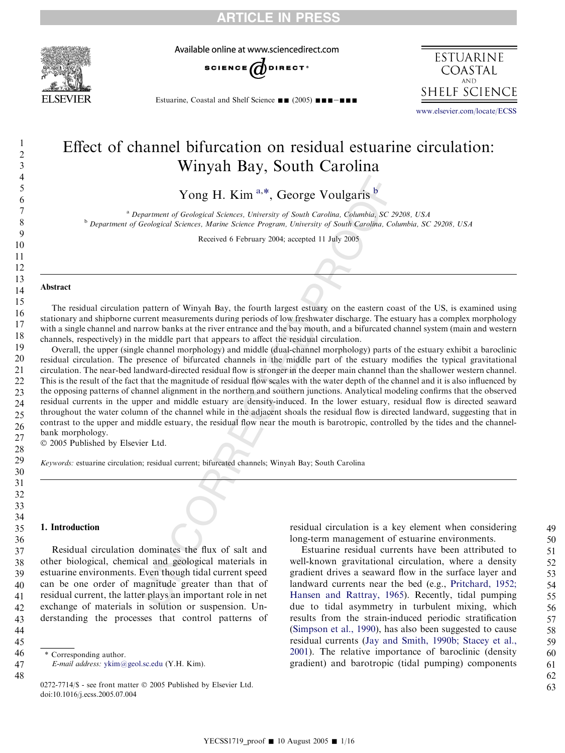

Available online at www.sciencedirect.com



**ESTUARINE COASTAL AND** SHELF SCIENCE

Estuarine, Coastal and Shelf Science  $\blacksquare$  (2005)  $\blacksquare$   $\blacksquare$   $\blacksquare$ 

[www.elsevier.com/locate/ECSS](http://www.elsevier.com/locate/ECSS)

# Effect of channel bifurcation on residual estuarine circulation: Winyah Bay, South Carolina

Yong H. Kim<sup>a,\*</sup>, George Voulgaris<sup>b</sup>

<sup>a</sup> Department of Geological Sciences, University of South Carolina, Columbia, SC 29208, USA <sup>b</sup> Department of Geological Sciences, Marine Science Program, University of South Carolina, Columbia, SC 29208, USA

Received 6 February 2004; accepted 11 July 2005

### Abstract

The residual circulation pattern of Winyah Bay, the fourth largest estuary on the eastern coast of the US, is examined using stationary and shipborne current measurements during periods of low freshwater discharge. The estuary has a complex morphology with a single channel and narrow banks at the river entrance and the bay mouth, and a bifurcated channel system (main and western channels, respectively) in the middle part that appears to affect the residual circulation.

**YONG H. Kim**<sup>a,  $*$ </sup>, George Voulgaris  ${}^{\text{b}}$ <br> *Framment of Geological Sciences, University of South Carolina, Columbia, SC*  $\zeta$ *Cological Sciences, Marine Science Program, University of South Carolina, Cological Scie* Overall, the upper (single channel morphology) and middle (dual-channel morphology) parts of the estuary exhibit a baroclinic residual circulation. The presence of bifurcated channels in the middle part of the estuary modifies the typical gravitational circulation. The near-bed landward-directed residual flow is stronger in the deeper main channel than the shallower western channel. This is the result of the fact that the magnitude of residual flow scales with the water depth of the channel and it is also influenced by the opposing patterns of channel alignment in the northern and southern junctions. Analytical modeling confirms that the observed residual currents in the upper and middle estuary are density-induced. In the lower estuary, residual flow is directed seaward throughout the water column of the channel while in the adjacent shoals the residual flow is directed landward, suggesting that in contrast to the upper and middle estuary, the residual flow near the mouth is barotropic, controlled by the tides and the channelbank morphology.

2005 Published by Elsevier Ltd.

Keywords: estuarine circulation; residual current; bifurcated channels; Winyah Bay; South Carolina

### 1. Introduction

Residual circulation dominates the flux of salt and other biological, chemical and geological materials in estuarine environments. Even though tidal current speed can be one order of magnitude greater than that of residual current, the latter plays an important role in net exchange of materials in solution or suspension. Understanding the processes that control patterns of

residual circulation is a key element when considering long-term management of estuarine environments.

Estuarine residual currents have been attributed to well-known gravitational circulation, where a density gradient drives a seaward flow in the surface layer and landward currents near the bed (e.g., [Pritchard, 1952;](#page-15-0) [Hansen and Rattray, 1965\)](#page-15-0). Recently, tidal pumping due to tidal asymmetry in turbulent mixing, which results from the strain-induced periodic stratification ([Simpson et al., 1990\)](#page-15-0), has also been suggested to cause residual currents [\(Jay and Smith, 1990b; Stacey et al.,](#page-15-0) [2001](#page-15-0)). The relative importance of baroclinic (density gradient) and barotropic (tidal pumping) components

<sup>\*</sup> Corresponding author.

E-mail address: [ykim@geol.sc.edu](mailto:ykim@geol.sc.edu) (Y.H. Kim).

<sup>48</sup>

<sup>0272-7714/\$ -</sup> see front matter 2005 Published by Elsevier Ltd. doi:10.1016/j.ecss.2005.07.004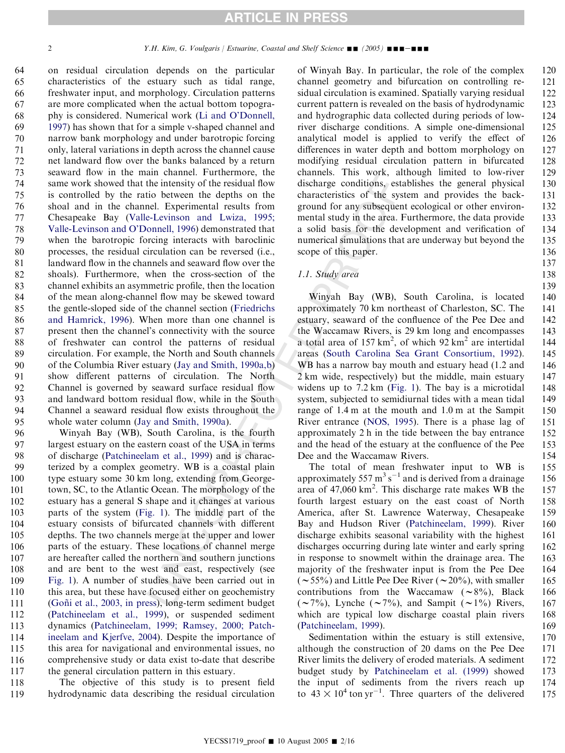the intensity of the residual flow<br>discharge conditions, est<br>ite intensity of the residual flow<br>discharge conditions, est<br>ite intensity of the residual flow<br>discharge conditions, est<br>etel. Experimental results from<br>ground on residual circulation depends on the particular characteristics of the estuary such as tidal range, freshwater input, and morphology. Circulation patterns are more complicated when the actual bottom topography is considered. Numerical work ([Li and O'Donnell,](#page-15-0) [1997\)](#page-15-0) has shown that for a simple v-shaped channel and narrow bank morphology and under barotropic forcing only, lateral variations in depth across the channel cause net landward flow over the banks balanced by a return seaward flow in the main channel. Furthermore, the same work showed that the intensity of the residual flow is controlled by the ratio between the depths on the shoal and in the channel. Experimental results from Chesapeake Bay ([Valle-Levinson and Lwiza, 1995;](#page-15-0) [Valle-Levinson and O'Donnell, 1996](#page-15-0)) demonstrated that when the barotropic forcing interacts with baroclinic processes, the residual circulation can be reversed (i.e., landward flow in the channels and seaward flow over the shoals). Furthermore, when the cross-section of the channel exhibits an asymmetric profile, then the location of the mean along-channel flow may be skewed toward the gentle-sloped side of the channel section [\(Friedrichs](#page-14-0) [and Hamrick, 1996\)](#page-14-0). When more than one channel is present then the channel's connectivity with the source of freshwater can control the patterns of residual circulation. For example, the North and South channels of the Columbia River estuary (Jay and Smith, 1990a,b ) show different patterns of circulation. The North Channel is governed by seaward surface residual flow and landward bottom residual flow, while in the South Channel a seaward residual flow exists throughout the whole water column ([Jay and Smith, 1990a\)](#page-15-0). 64 65 66 67 68 69 70 71 72 73 74 75 76 77 78 79 80 81 82 83 84 85 86 87 88 89 90 91 92 93 94 95

Winyah Bay (WB), South Carolina, is the fourth largest estuary on the eastern coast of the USA in terms of discharge ([Patchineelam et al., 1999\)](#page-15-0) and is characterized by a complex geometry. WB is a coastal plain type estuary some 30 km long, extending from Georgetown, SC, to the Atlantic Ocean. The morphology of the estuary has a general S shape and it changes at various parts of the system [\(Fig. 1](#page-2-0)). The middle part of the estuary consists of bifurcated channels with different depths. The two channels merge at the upper and lower parts of the estuary. These locations of channel merge are hereafter called the northern and southern junctions and are bent to the west and east, respectively (see [Fig. 1\)](#page-2-0). A number of studies have been carried out in this area, but these have focused either on geochemistry (Goñi et al., 2003, in press), long-term sediment budget ([Patchineelam et al., 1999](#page-15-0)), or suspended sediment dynamics [\(Patchineelam, 1999; Ramsey, 2000; Patch](#page-15-0)[ineelam and Kjerfve, 2004\)](#page-15-0). Despite the importance of this area for navigational and environmental issues, no comprehensive study or data exist to-date that describe the general circulation pattern in this estuary. 96 97 98 99 100 101 102 103 104 105 106 107 108 109 110 111 112 113 114 115 116 117

The objective of this study is to present field hydrodynamic data describing the residual circulation 118 119

of Winyah Bay. In particular, the role of the complex channel geometry and bifurcation on controlling residual circulation is examined. Spatially varying residual current pattern is revealed on the basis of hydrodynamic and hydrographic data collected during periods of lowriver discharge conditions. A simple one-dimensional analytical model is applied to verify the effect of differences in water depth and bottom morphology on modifying residual circulation pattern in bifurcated channels. This work, although limited to low-river discharge conditions, establishes the general physical characteristics of the system and provides the background for any subsequent ecological or other environmental study in the area. Furthermore, the data provide a solid basis for the development and verification of numerical simulations that are underway but beyond the scope of this paper. 120 121 122 123 124 125 126 127 128 129 130 131 132 133 134 135 136

### 1.1. Study area

Winyah Bay (WB), South Carolina, is located approximately 70 km northeast of Charleston, SC. The estuary, seaward of the confluence of the Pee Dee and the Waccamaw Rivers, is 29 km long and encompasses a total area of 157 km<sup>2</sup>, of which  $92 \text{ km}^2$  are intertidal areas [\(South Carolina Sea Grant Consortium, 1992\)](#page-15-0). WB has a narrow bay mouth and estuary head (1.2 and 2 km wide, respectively) but the middle, main estuary widens up to 7.2 km ([Fig. 1](#page-2-0)). The bay is a microtidal system, subjected to semidiurnal tides with a mean tidal range of 1.4 m at the mouth and 1.0 m at the Sampit River entrance ([NOS, 1995\)](#page-15-0). There is a phase lag of approximately 2 h in the tide between the bay entrance and the head of the estuary at the confluence of the Pee Dee and the Waccamaw Rivers.

The total of mean freshwater input to WB is approximately 557  $m^3 s^{-1}$  and is derived from a drainage area of 47,060 km 2 . This discharge rate makes WB the fourth largest estuary on the east coast of North America, after St. Lawrence Waterway, Chesapeake Bay and Hudson River [\(Patchineelam, 1999](#page-15-0)). River discharge exhibits seasonal variability with the highest discharges occurring during late winter and early spring in response to snowmelt within the drainage area. The majority of the freshwater input is from the Pee Dee  $(\sim 55\%)$  and Little Pee Dee River ( $\sim 20\%$ ), with smaller contributions from the Waccamaw  $(\sim 8\%)$ , Black  $(\sim 7\%)$ , Lynche  $(\sim 7\%)$ , and Sampit  $(\sim 1\%)$  Rivers, which are typical low discharge coastal plain rivers ([Patchineelam, 1999](#page-15-0)). 155 156 157 158 159 160 161 162 163 164 165 166 167 168 169

Sedimentation within the estuary is still extensive, although the construction of 20 dams on the Pee Dee River limits the delivery of eroded materials. A sediment budget study by [Patchineelam et al. \(1999\)](#page-15-0) showed the input of sediments from the rivers reach up to  $43 \times 10^4$  ton yr<sup>-1</sup>. Three quarters of the delivered 170 171 172 173 174 175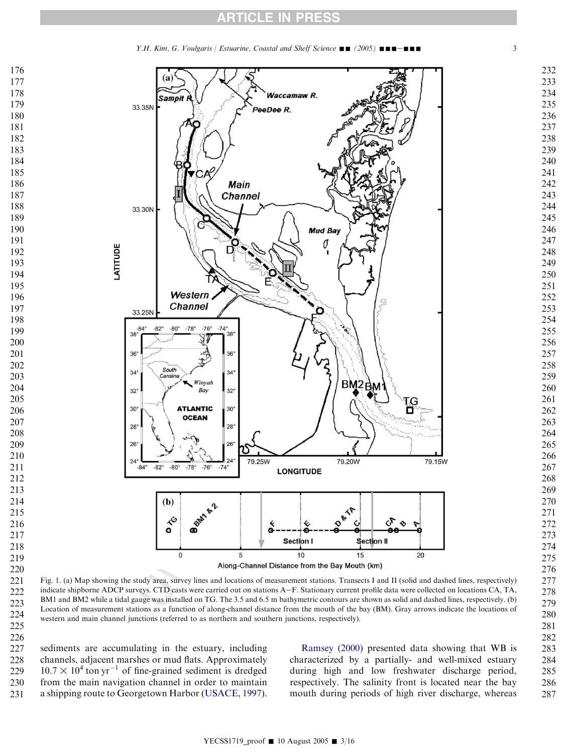<span id="page-2-0"></span>

sediments are accumulating in the estuary, including channels, adjacent marshes or mud flats. Approximately  $10.7 \times 10^4$  ton yr<sup>-1</sup> of fine-grained sediment is dredged from the main navigation channel in order to maintain a shipping route to Georgetown Harbor ([USACE, 1997\)](#page-15-0). 

[Ramsey \(2000\)](#page-15-0) presented data showing that WB is characterized by a partially- and well-mixed estuary during high and low freshwater discharge period, respectively. The salinity front is located near the bay mouth during periods of high river discharge, whereas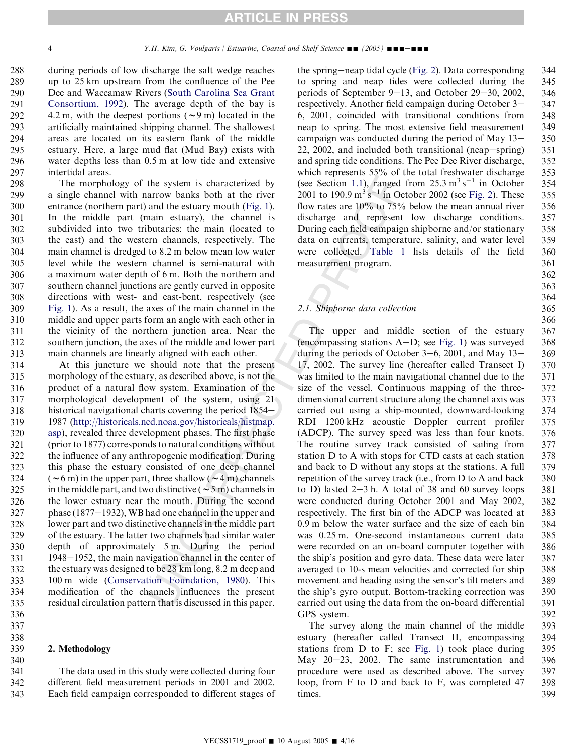during periods of low discharge the salt wedge reaches up to 25 km upstream from the confluence of the Pee Dee and Waccamaw Rivers [\(South Carolina Sea Grant](#page-15-0) [Consortium, 1992\)](#page-15-0). The average depth of the bay is 4.2 m, with the deepest portions  $({\sim}9 \text{ m})$  located in the artificially maintained shipping channel. The shallowest areas are located on its eastern flank of the middle estuary. Here, a large mud flat (Mud Bay) exists with water depths less than 0.5 m at low tide and extensive intertidal areas. 288 289 290 291 292 293 294 295 296 297

The morphology of the system is characterized by a single channel with narrow banks both at the river entrance (northern part) and the estuary mouth ([Fig. 1\)](#page-2-0). In the middle part (main estuary), the channel is subdivided into two tributaries: the main (located to the east) and the western channels, respectively. The main channel is dredged to 8.2 m below mean low water level while the western channel is semi-natural with a maximum water depth of 6 m. Both the northern and southern channel junctions are gently curved in opposite directions with west- and east-bent, respectively (see [Fig. 1\)](#page-2-0). As a result, the axes of the main channel in the middle and upper parts form an angle with each other in the vicinity of the northern junction area. Near the southern junction, the axes of the middle and lower part main channels are linearly aligned with each other. 298 299 300 301 302 303 304 305 306 307 308 309 310 311 312 313

the system is characterized by<br>
(see Section 1.1), ranged<br>
arrow banks both at the river<br>
2001 to 190.9 m<sup>3</sup> s<sup>1</sup> in Oo<br>
and the estuary mouth (Fig. 1). How rates are 10% to 75%<br>
anan estuary), the channel is<br>
discharge a At this juncture we should note that the present morphology of the estuary, as described above, is not the product of a natural flow system. Examination of the morphological development of the system, using 21 historical navigational charts covering the period 1854– 1987 [\(http://historicals.ncd.noaa.gov/historicals/histmap.](http://historicals.ncd.noaa.gov/historicals/histmap.asp) [asp\)](http://historicals.ncd.noaa.gov/historicals/histmap.asp), revealed three development phases. The first phase (prior to 1877) corresponds to natural conditions without the influence of any anthropogenic modification. During this phase the estuary consisted of one deep channel ( $\sim$ 6 m) in the upper part, three shallow ( $\sim$ 4 m) channels in the middle part, and two distinctive ( $\sim$  5 m) channels in the lower estuary near the mouth. During the second phase (1877—1932), WB had one channel in the upper and lower part and two distinctive channels in the middle part of the estuary. The latter two channels had similar water depth of approximately 5 m. During the period 1948–1952, the main navigation channel in the center of the estuary was designed to be 28 km long, 8.2 m deep and 100 m wide [\(Conservation Foundation, 1980](#page-14-0)). This modification of the channels influences the present residual circulation pattern that is discussed in this paper. 314 315 316 317 318 319 320 321 322 323 324 325 326 327 328 329 330 331 332 333 334 335 336

### 2. Methodology

The data used in this study were collected during four different field measurement periods in 2001 and 2002. Each field campaign corresponded to different stages of 341 342 343

the spring—neap tidal cycle ([Fig. 2](#page-4-0)). Data corresponding to spring and neap tides were collected during the periods of September  $9-13$ , and October 29–30, 2002, respectively. Another field campaign during October 3– 6, 2001, coincided with transitional conditions from neap to spring. The most extensive field measurement campaign was conducted during the period of May 13– 22, 2002, and included both transitional (neap espring) and spring tide conditions. The Pee Dee River discharge, which represents 55% of the total freshwater discharge (see Section 1.1), ranged from  $25.3 \text{ m}^3 \text{ s}^{-1}$  in October 2001 to 190.9  $\text{m}^3 \text{s}^{-1}$  in October 2002 (see [Fig. 2](#page-4-0)). These flow rates are 10% to 75% below the mean annual river discharge and represent low discharge conditions. During each field campaign shipborne and/or stationary data on currents, temperature, salinity, and water level were collected. [Table 1](#page-5-0) lists details of the field measurement program. 344 345 346 347 348 349 350 351 352 353 354 355 356 357 358 359 360 361

## 2.1. Shipborne data collection

The upper and middle section of the estuary  $(encompassing stations A-D; see Fig. 1) was surveyed$  $(encompassing stations A-D; see Fig. 1) was surveyed$  $(encompassing stations A-D; see Fig. 1) was surveyed$ during the periods of October  $3-6$ , 2001, and May  $13-$ 17, 2002. The survey line (hereafter called Transect I) was limited to the main navigational channel due to the size of the vessel. Continuous mapping of the threedimensional current structure along the channel axis was carried out using a ship-mounted, downward-looking RDI 1200 kHz acoustic Doppler current profiler (ADCP). The survey speed was less than four knots. The routine survey track consisted of sailing from station D to A with stops for CTD casts at each station and back to D without any stops at the stations. A full repetition of the survey track (i.e., from D to A and back to D) lasted  $2-3$  h. A total of 38 and 60 survey loops were conducted during October 2001 and May 2002, respectively. The first bin of the ADCP was located at 0.9 m below the water surface and the size of each bin was 0.25 m. One-second instantaneous current data were recorded on an on-board computer together with the ship's position and gyro data. These data were later averaged to 10-s mean velocities and corrected for ship movement and heading using the sensor's tilt meters and the ship's gyro output. Bottom-tracking correction was carried out using the data from the on-board differential GPS system. 366 367 368 369 370 371 372 373 374 375 376 377 378 379 380 381 382 383 384 385 386 387 388 389 390 391 392

The survey along the main channel of the middle estuary (hereafter called Transect II, encompassing stations from D to F; see [Fig. 1](#page-2-0)) took place during May 20–23, 2002. The same instrumentation and procedure were used as described above. The survey loop, from F to D and back to F, was completed 47 times. 393 394 395 396 397 398 399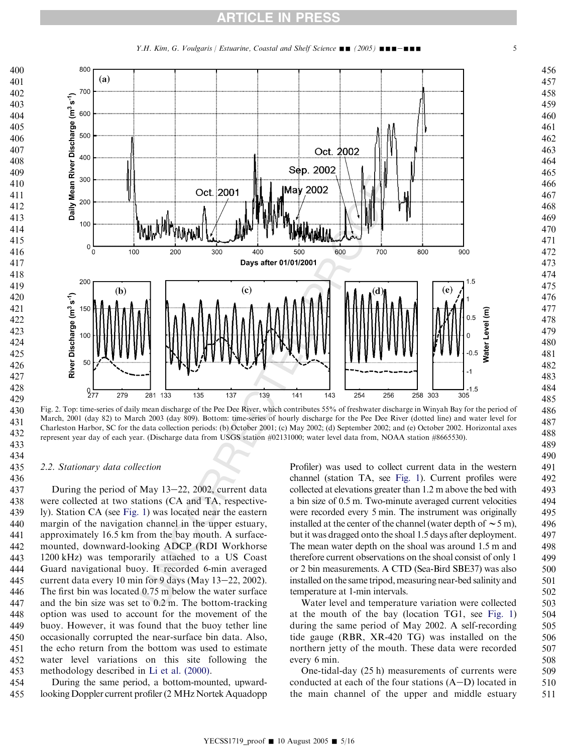Y.H. Kim, G. Voulgaris / Estuarine, Coastal and Shelf Science  $\blacksquare$  (2005)  $\blacksquare$ e---

<span id="page-4-0"></span>

Fig. 2. Top: time-series of daily mean discharge of the Pee Dee River, which contributes 55% of freshwater discharge in Winyah Bay for the period of March, 2001 (day 82) to March 2003 (day 809). Bottom: time-series of hourly discharge for the Pee Dee River (dotted line) and water level for Charleston Harbor, SC for the data collection periods: (b) October 2001; (c) May 2002; (d) September 2002; and (e) October 2002. Horizontal axes represent year day of each year. (Discharge data from USGS station #02131000; water level data from, NOAA station #8665530). 

#### 2.2. Stationary data collection

During the period of May 13–22, 2002, current data were collected at two stations (CA and TA, respectively). Station CA (see [Fig. 1\)](#page-2-0) was located near the eastern margin of the navigation channel in the upper estuary, approximately 16.5 km from the bay mouth. A surfacemounted, downward-looking ADCP (RDI Workhorse 1200 kHz) was temporarily attached to a US Coast Guard navigational buoy. It recorded 6-min averaged current data every 10 min for 9 days (May 13–22, 2002). The first bin was located 0.75 m below the water surface and the bin size was set to 0.2 m. The bottom-tracking option was used to account for the movement of the buoy. However, it was found that the buoy tether line occasionally corrupted the near-surface bin data. Also, the echo return from the bottom was used to estimate water level variations on this site following the methodology described in [Li et al. \(2000\)](#page-15-0) . 

During the same period, a bottom-mounted, upwardlooking Doppler current profiler (2 MHz Nortek Aquadopp 

Profiler) was used to collect current data in the western channel (station TA, see [Fig. 1\)](#page-2-0). Current profiles were collected at elevations greater than 1.2 m above the bed with a bin size of 0.5 m. Two-minute averaged current velocities were recorded every 5 min. The instrument was originally installed at the center of the channel (water depth of  $\sim$  5 m), but it was dragged onto the shoal 1.5 days after deployment. The mean water depth on the shoal was around 1.5 m and therefore current observations on the shoal consist of only 1 or 2 bin measurements. A CTD (Sea-Bird SBE37) was also installed on the same tripod, measuring near-bed salinity and temperature at 1-min intervals.

Water level and temperature variation were collected at the mouth of the bay (location TG1, see [Fig. 1](#page-2-0) ) during the same period of May 2002. A self-recording tide gauge (RBR, XR-420 TG) was installed on the northern jetty of the mouth. These data were recorded every 6 min.

One-tidal-day (25 h) measurements of currents were conducted at each of the four stations  $(A-D)$  located in the main channel of the upper and middle estuary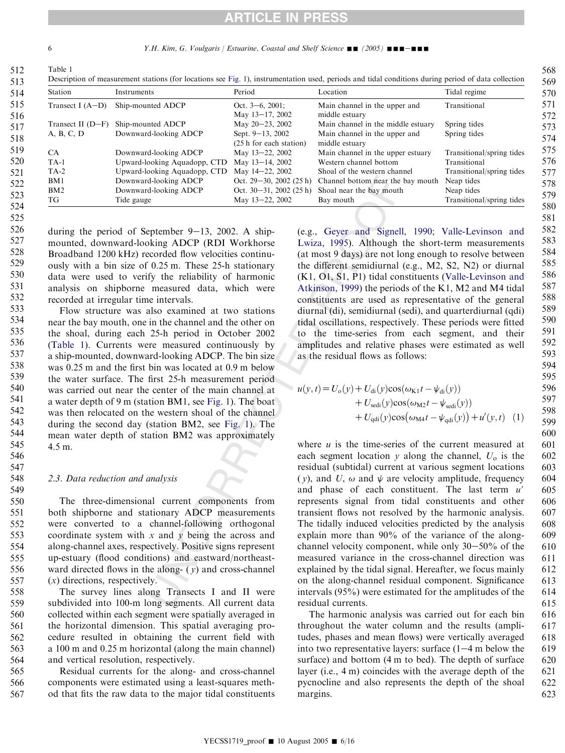<span id="page-5-0"></span>6 Y.H. Kim, G. Voulgaris / Estuarine, Coastal and Shelf Science  $\blacksquare$  (2005)  $\blacksquare$ 

Table 1 512

525

547 548

| Station             | Instruments                  | Period                                | Location                                        | Tidal regime              |
|---------------------|------------------------------|---------------------------------------|-------------------------------------------------|---------------------------|
| Transect I $(A-D)$  | Ship-mounted ADCP            | Oct. $3-6$ , 2001;<br>May 13-17, 2002 | Main channel in the upper and<br>middle estuary | Transitional              |
| Transect II $(D-F)$ | Ship-mounted ADCP            | May 20-23, 2002                       | Main channel in the middle estuary              | Spring tides              |
| A, B, C, D          | Downward-looking ADCP        | Sept. $9-13$ , 2002                   | Main channel in the upper and                   | Spring tides              |
|                     |                              | (25 h for each station)               | middle estuary                                  |                           |
| CA                  | Downward-looking ADCP        | May 13-22, 2002                       | Main channel in the upper estuary               | Transitional/spring tides |
| $TA-1$              | Upward-looking Aquadopp, CTD | May $13-14$ , 2002                    | Western channel bottom                          | Transitional              |
| $TA-2$              | Upward-looking Aquadopp, CTD | May 14-22, 2002                       | Shoal of the western channel                    | Transitional/spring tides |
| BM1                 | Downward-looking ADCP        | Oct. $29-30$ , $2002$ $(25 h)$        | Channel bottom near the bay mouth               | Neap tides                |
| BM2                 | Downward-looking ADCP        | Oct. $30-31$ , $2002$ (25 h)          | Shoal near the bay mouth                        | Neap tides                |
| TG                  | Tide gauge                   | May 13-22, 2002                       | Bay mouth                                       | Transitional/spring tides |

during the period of September 9–13, 2002. A shipmounted, downward-looking ADCP (RDI Workhorse Broadband 1200 kHz) recorded flow velocities continuously with a bin size of 0.25 m. These 25-h stationary data were used to verify the reliability of harmonic analysis on shipborne measured data, which were recorded at irregular time intervals. 526 527 528 529 530 531 532

d-ooking ADCP<br>
oct. 29--30, 2002 (25 h) Channel bottom fact the<br>
d-oloking ADCP<br>
oct. 30--31, 2002 (25 h) Shoul near the bay mouth<br>
octoking ADCP<br>
May 13--22, 2002<br>
Bay mouth<br>
peptember 9--13, 2002. A ship-<br>
(e.g., Geyer Flow structure was also examined at two stations near the bay mouth, one in the channel and the other on the shoal, during each 25-h period in October 2002 (Table 1). Currents were measured continuously by a ship-mounted, downward-looking ADCP. The bin size was 0.25 m and the first bin was located at 0.9 m below the water surface. The first 25-h measurement period was carried out near the center of the main channel at a water depth of 9 m (station BM1, see Fig. 1). The boat was then relocated on the western shoal of the channel during the second day (station BM2, see Fig. 1). The mean water depth of station BM2 was approximately 4.5 m. 533 534 535 536 537 538 539 540 541 542 543 544 545 546

## 2.3. Data reduction and analysis

The three-dimensional current components from both shipborne and stationary ADCP measurements were converted to a channel-following orthogonal coordinate system with x and y being the across and along-channel axes, respectively. Positive signs represent up-estuary (flood conditions) and eastward/northeastward directed flows in the along-  $\overline{y}$  and cross-channel (x) directions, respectively. 549 550 551 552 553 554 555 556 557

The survey lines along Transects I and II were subdivided into 100-m long segments. All current data collected within each segment were spatially averaged in the horizontal dimension. This spatial averaging procedure resulted in obtaining the current field with a 100 m and 0.25 m horizontal (along the main channel) and vertical resolution, respectively. 558 559 560 561 562 563 564

Residual currents for the along- and cross-channel components were estimated using a least-squares method that fits the raw data to the major tidal constituents 565 566 567

(e.g., [Geyer and Signell, 1990; Valle-Levinson and](#page-14-0) [Lwiza, 1995](#page-14-0)). Although the short-term measurements (at most 9 days) are not long enough to resolve between the different semidiurnal (e.g., M2, S2, N2) or diurnal (K1, O1, S1, P1) tidal constituents [\(Valle-Levinson and](#page-15-0) [Atkinson, 1999\)](#page-15-0) the periods of the K1, M2 and M4 tidal constituents are used as representative of the general diurnal (di), semidiurnal (sedi), and quarterdiurnal (qdi) tidal oscillations, respectively. These periods were fitted to the time-series from each segment, and their amplitudes and relative phases were estimated as well as the residual flows as follows:

e---

$$
u(y,t) = U_0(y) + U_{di}(y)\cos(\omega_{K1}t - \psi_{di}(y))
$$
  
+ 
$$
U_{scdi}(y)\cos(\omega_{M2}t - \psi_{scdi}(y))
$$
  
+ 
$$
U_{qdi}(y)\cos(\omega_{M4}t - \psi_{qdi}(y)) + u'(y,t)
$$
 (1)

where  $u$  is the time-series of the current measured at each segment location  $y$  along the channel,  $U_0$  is the residual (subtidal) current at various segment locations (*v*), and U,  $\omega$  and  $\psi$  are velocity amplitude, frequency and phase of each constituent. The last term  $u'$ represents signal from tidal constituents and other transient flows not resolved by the harmonic analysis. The tidally induced velocities predicted by the analysis explain more than 90% of the variance of the alongchannel velocity component, while only  $30-50\%$  of the measured variance in the cross-channel direction was explained by the tidal signal. Hereafter, we focus mainly on the along-channel residual component. Significance intervals (95%) were estimated for the amplitudes of the residual currents.

The harmonic analysis was carried out for each bin throughout the water column and the results (amplitudes, phases and mean flows) were vertically averaged into two representative layers: surface  $(1-4 \text{ m}$  below the surface) and bottom (4 m to bed). The depth of surface layer (i.e., 4 m) coincides with the average depth of the pycnocline and also represents the depth of the shoal margins. 616 617 618 619 620 621 622 623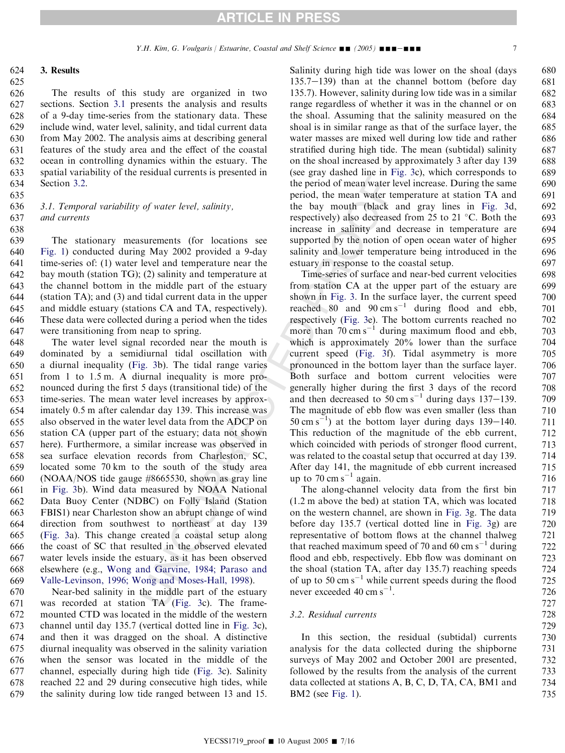#### 3. Results 624

625

635

638

The results of this study are organized in two sections. Section 3.1 presents the analysis and results of a 9-day time-series from the stationary data. These include wind, water level, salinity, and tidal current data from May 2002. The analysis aims at describing general features of the study area and the effect of the coastal ocean in controlling dynamics within the estuary. The spatial variability of the residual currents is presented in Section 3.2 . 626 627 628 629 630 631 632 633 634

#### 3.1. Temporal variability of water level, salinity, and currents 636 637

The stationary measurements (for locations see [Fig. 1\)](#page-2-0) conducted during May 2002 provided a 9-day time-series of: (1) water level and temperature near the bay mouth (station TG); (2) salinity and temperature at the channel bottom in the middle part of the estuary (station TA); and (3) and tidal current data in the upper and middle estuary (stations CA and TA, respectively). These data were collected during a period when the tides were transitioning from neap to spring. 639 640 641 642 643 644 645 646 647

the period of mean water<br>
the period of mean water<br>
the period of mean water<br>
period of mean water<br>
period of mean water<br>
the period of mean water<br>
level and temperature near the lower of the bay mouth (black<br>
respectivel The water level signal recorded near the mouth is dominated by a semidiurnal tidal oscillation with a diurnal inequality ([Fig. 3b](#page-7-0)). The tidal range varies from 1 to 1.5 m. A diurnal inequality is more pronounced during the first 5 days (transitional tide) of the time-series. The mean water level increases by approximately 0.5 m after calendar day 139. This increase was also observed in the water level data from the ADCP on station CA (upper part of the estuary; data not shown here). Furthermore, a similar increase was observed in sea surface elevation records from Charleston, SC, located some 70 km to the south of the study area (NOAA/NOS tide gauge #8665530, shown as gray line in [Fig. 3](#page-7-0)b). Wind data measured by NOAA National Data Buoy Center (NDBC) on Folly Island (Station FBIS1) near Charleston show an abrupt change of wind direction from southwest to northeast at day 139 ([Fig. 3](#page-7-0)a). This change created a coastal setup along the coast of SC that resulted in the observed elevated water levels inside the estuary, as it has been observed elsewhere (e.g., [Wong and Garvine, 1984; Paraso and](#page-15-0) [Valle-Levinson, 1996; Wong and Moses-Hall, 1998\)](#page-15-0). 648 649 650 651 652 653 654 655 656 657 658 659 660 661 662 663 664 665 666 667 668 669

Near-bed salinity in the middle part of the estuary was recorded at station TA (Fig. 3c). The framemounted CTD was located in the middle of the western channel until day 135.7 (vertical dotted line in [Fig. 3](#page-7-0)c), and then it was dragged on the shoal. A distinctive diurnal inequality was observed in the salinity variation when the sensor was located in the middle of the channel, especially during high tide ([Fig. 3](#page-7-0)c). Salinity reached 22 and 29 during consecutive high tides, while the salinity during low tide ranged between 13 and 15. 670 671 672 673 674 675 676 677 678 679

Salinity during high tide was lower on the shoal (days 135.7–139) than at the channel bottom (before day 135.7). However, salinity during low tide was in a similar range regardless of whether it was in the channel or on the shoal. Assuming that the salinity measured on the shoal is in similar range as that of the surface layer, the water masses are mixed well during low tide and rather stratified during high tide. The mean (subtidal) salinity on the shoal increased by approximately 3 after day 139 (see gray dashed line in [Fig. 3](#page-7-0)c), which corresponds to the period of mean water level increase. During the same period, the mean water temperature at station TA and the bay mouth (black and gray lines in [Fig. 3](#page-7-0)d, respectively) also decreased from 25 to 21 °C. Both the increase in salinity and decrease in temperature are supported by the notion of open ocean water of higher salinity and lower temperature being introduced in the estuary in response to the coastal setup.

Time-series of surface and near-bed current velocities from station CA at the upper part of the estuary are shown in Fig. 3. In the surface layer, the current speed reached  $80$  and  $90 \text{ cm s}^{-1}$  during flood and ebb, respectively [\(Fig. 3](#page-7-0)e). The bottom currents reached no more than  $70 \text{ cm s}^{-1}$  during maximum flood and ebb, which is approximately 20% lower than the surface current speed [\(Fig. 3f](#page-7-0)). Tidal asymmetry is more pronounced in the bottom layer than the surface layer. Both surface and bottom current velocities were generally higher during the first 3 days of the record and then decreased to  $50 \text{ cm s}^{-1}$  during days 137–139. The magnitude of ebb flow was even smaller (less than 50 cm  $s^{-1}$ ) at the bottom layer during days 139–140. This reduction of the magnitude of the ebb current, which coincided with periods of stronger flood current, was related to the coastal setup that occurred at day 139. After day 141, the magnitude of ebb current increased up to  $70 \text{ cm s}^{-1}$  again.

The along-channel velocity data from the first bin (1.2 m above the bed) at station TA, which was located on the western channel, are shown in [Fig. 3](#page-7-0)g. The data before day 135.7 (vertical dotted line in [Fig. 3](#page-7-0)g) are representative of bottom flows at the channel thalweg that reached maximum speed of 70 and 60 cm  $s^{-1}$  during flood and ebb, respectively. Ebb flow was dominant on the shoal (station TA, after day 135.7) reaching speeds of up to  $50 \text{ cm s}^{-1}$  while current speeds during the flood never exceeded 40 cm s<sup>-1</sup>.

### 3.2. Residual currents

In this section, the residual (subtidal) currents analysis for the data collected during the shipborne surveys of May 2002 and October 2001 are presented, followed by the results from the analysis of the current data collected at stations A, B, C, D, TA, CA, BM1 and BM2 (see [Fig. 1\)](#page-2-0).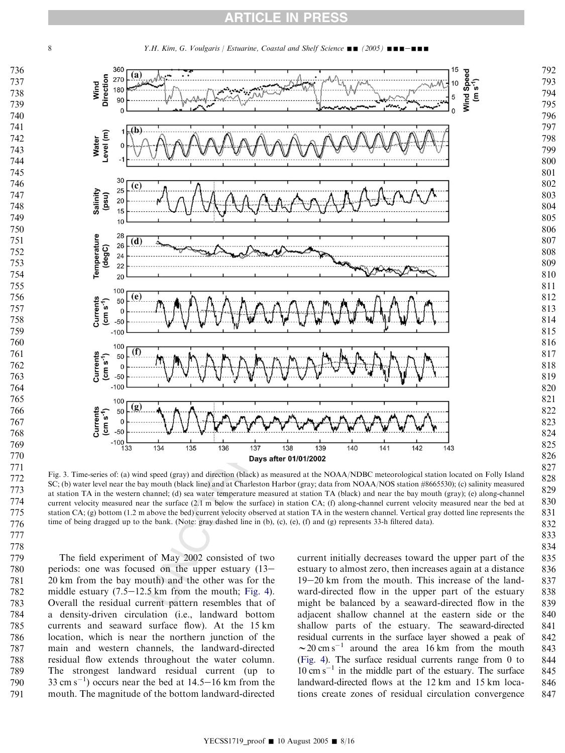<span id="page-7-0"></span>

Fig. 3. Time-series of: (a) wind speed (gray) and direction (black) as measured at the NOAA/NDBC meteorological station located on Folly Island SC; (b) water level near the bay mouth (black line) and at Charleston Harbor (gray; data from NOAA/NOS station #8665530); (c) salinity measured at station TA in the western channel; (d) sea water temperature measured at station TA (black) and near the bay mouth (gray); (e) along-channel current velocity measured near the surface (2.1 m below the surface) in station CA; (f) along-channel current velocity measured near the bed at station CA; (g) bottom (1.2 m above the bed) current velocity observed at station TA in the western channel. Vertical gray dotted line represents the time of being dragged up to the bank. (Note: gray dashed line in (b), (c), (e), (f) and (g) represents 33-h filtered data).

The field experiment of May 2002 consisted of two periods: one was focused on the upper estuary  $(13-$ 20 km from the bay mouth) and the other was for the middle estuary  $(7.5-12.5 \text{ km from the mouth}; \text{Fig. 4}).$ Overall the residual current pattern resembles that of a density-driven circulation (i.e., landward bottom currents and seaward surface flow). At the 15 km location, which is near the northern junction of the main and western channels, the landward-directed residual flow extends throughout the water column. The strongest landward residual current (up to 33 cm  $s^{-1}$ ) occurs near the bed at 14.5–16 km from the mouth. The magnitude of the bottom landward-directed 

> current initially decreases toward the upper part of the estuary to almost zero, then increases again at a distance 19–20 km from the mouth. This increase of the landward-directed flow in the upper part of the estuary might be balanced by a seaward-directed flow in the adjacent shallow channel at the eastern side or the shallow parts of the estuary. The seaward-directed residual currents in the surface layer showed a peak of  $\sim$ 20 cm s<sup>-1</sup> around the area 16 km from the mouth ([Fig. 4\)](#page-8-0). The surface residual currents range from 0 to  $10 \text{ cm s}^{-1}$  in the middle part of the estuary. The surface landward-directed flows at the 12 km and 15 km locations create zones of residual circulation convergence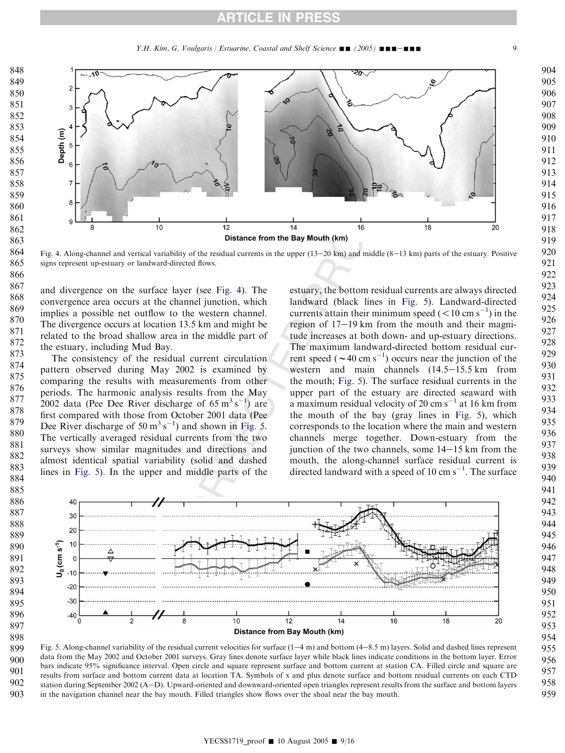Y.H. Kim, G. Voulgaris | Estuarine, Coastal and Shelf Science  $\blacksquare$  (2005) e---

<span id="page-8-0"></span>

Fig. 4. Along-channel and vertical variability of the residual currents in the upper (13–20 km) and middle (8–13 km) parts of the estuary. Positive signs represent up-estuary or landward-directed flows. 

and divergence on the surface layer (see Fig. 4). The convergence area occurs at the channel junction, which implies a possible net outflow to the western channel. The divergence occurs at location 13.5 km and might be related to the broad shallow area in the middle part of the estuary, including Mud Bay. 

The consistency of the residual current circulation pattern observed during May 2002 is examined by comparing the results with measurements from other periods. The harmonic analysis results from the May 2002 data (Pee Dee River discharge of  $65 \text{ m}^3 \text{ s}^{-1}$ ) are first compared with those from October 2001 data (Pee Dee River discharge of  $50 \text{ m}^3 \text{ s}^{-1}$ ) and shown in Fig. 5. The vertically averaged residual currents from the two surveys show similar magnitudes and directions and almost identical spatial variability (solid and dashed lines in Fig. 5). In the upper and middle parts of the 

estuary, the bottom residual currents are always directed landward (black lines in Fig. 5). Landward-directed currents attain their minimum speed  $(< 10 \text{ cm s}^{-1})$  in the region of  $17-19$  km from the mouth and their magnitude increases at both down- and up-estuary directions. The maximum landward-directed bottom residual current speed ( $\sim$ 40 cm s<sup>-1</sup>) occurs near the junction of the western and main channels  $(14.5 - 15.5 \text{ km} \text{ from}$ the mouth; Fig. 5). The surface residual currents in the upper part of the estuary are directed seaward with a maximum residual velocity of 20 cm  $s^{-1}$  at 16 km from the mouth of the bay (gray lines in Fig. 5), which corresponds to the location where the main and western channels merge together. Down-estuary from the junction of the two channels, some  $14-15$  km from the mouth, the along-channel surface residual current is directed landward with a speed of 10 cm  $s^{-1}$ . The surface



Fig. 5. Along-channel variability of the residual current velocities for surface  $(1-4 \text{ m})$  and bottom  $(4-8.5 \text{ m})$  layers. Solid and dashed lines represent data from the May 2002 and October 2001 surveys. Gray lines denote surface layer while black lines indicate conditions in the bottom layer. Error bars indicate 95% significance interval. Open circle and square represent surface and bottom current at station CA. Filled circle and square are results from surface and bottom current data at location TA. Symbols of x and plus denote surface and bottom residual currents on each CTD station during September 2002 (A–D). Upward-oriented and downward-oriented open triangles represent results from the surface and bottom layers in the navigation channel near the bay mouth. Filled triangles show flows over the shoal near the bay mouth.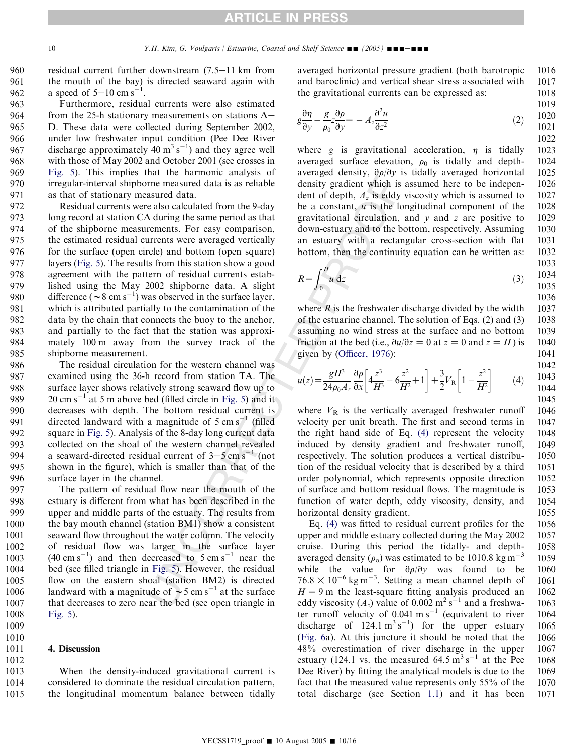<span id="page-9-0"></span>residual current further downstream (7.5–11 km from the mouth of the bay) is directed seaward again with a speed of  $5-10$  cm  $\mathrm{s}^{-1}$ . 960 961 962

Furthermore, residual currents were also estimated from the 25-h stationary measurements on stations  $A-$ D. These data were collected during September 2002, under low freshwater input condition (Pee Dee River discharge approximately  $40 \text{ m}^3 \text{ s}^{-1}$ ) and they agree well with those of May 2002 and October 2001 (see crosses in [Fig. 5\)](#page-8-0). This implies that the harmonic analysis of irregular-interval shipborne measured data is as reliable as that of stationary measured data. 963 964 965 966 967 968 969 970 971

The measured data is as reliable<br>
alongly gradient which is<br>
alongly ear alongly stational cheat<br>
alongly gradient which is<br>
along the along data is as reliable<br>
along the along the same period as that<br>
along the same per Residual currents were also calculated from the 9-day long record at station CA during the same period as that of the shipborne measurements. For easy comparison, the estimated residual currents were averaged vertically for the surface (open circle) and bottom (open square) layers [\(Fig. 5\)](#page-8-0). The results from this station show a good agreement with the pattern of residual currents established using the May 2002 shipborne data. A slight difference ( $\sim 8 \text{ cm s}^{-1}$ ) was observed in the surface layer, which is attributed partially to the contamination of the data by the chain that connects the buoy to the anchor, and partially to the fact that the station was approximately 100 m away from the survey track of the shipborne measurement. 972 973 974 975 976 977 978 979 980 981 982 983 984 985

The residual circulation for the western channel was examined using the 36-h record from station TA. The surface layer shows relatively strong seaward flow up to 20 cm  $s^{-1}$  at 5 m above bed (filled circle in Fig. 5) and it decreases with depth. The bottom residual current is directed landward with a magnitude of  $5 \text{ cm s}^{-1}$  (filled square in [Fig. 5](#page-8-0)). Analysis of the 8-day long current data collected on the shoal of the western channel revealed a seaward-directed residual current of  $3-5$  cm s<sup>-1</sup> (not shown in the figure), which is smaller than that of the surface layer in the channel. 986 987 988 989 990 991 992 993 994 995 996

The pattern of residual flow near the mouth of the estuary is different from what has been described in the upper and middle parts of the estuary. The results from the bay mouth channel (station BM1) show a consistent seaward flow throughout the water column. The velocity of residual flow was larger in the surface layer  $(40 \text{ cm s}^{-1})$  and then decreased to  $5 \text{ cm s}^{-1}$  near the bed (see filled triangle in Fig. 5). However, the residual flow on the eastern shoal (station BM2) is directed landward with a magnitude of  $\sim$  5 cm s<sup>-1</sup> at the surface that decreases to zero near the bed (see open triangle in [Fig. 5](#page-8-0)). 997 998 999 1000 1001 1002 1003 1004 1005 1006 1007 1008

#### 4. Discussion 1011

1009 1010

1012

When the density-induced gravitational current is considered to dominate the residual circulation pattern, the longitudinal momentum balance between tidally 1013 1014 1015

averaged horizontal pressure gradient (both barotropic and baroclinic) and vertical shear stress associated with the gravitational currents can be expressed as: 1016 1017 1018

$$
g\frac{\partial \eta}{\partial y} - \frac{g}{\rho_0} z \frac{\partial \rho}{\partial y} = -A_z \frac{\partial^2 u}{\partial z^2}
$$
 (2) 1020  
1020

1022

1033

where g is gravitational acceleration,  $\eta$  is tidally averaged surface elevation,  $\rho_0$  is tidally and depthaveraged density,  $\partial \rho / \partial y$  is tidally averaged horizontal density gradient which is assumed here to be independent of depth,  $A<sub>z</sub>$  is eddy viscosity which is assumed to be a constant,  $u$  is the longitudinal component of the gravitational circulation, and y and z are positive to down-estuary and to the bottom, respectively. Assuming an estuary with a rectangular cross-section with flat bottom, then the continuity equation can be written as: 1023 1024 1025 1026 1027 1028 1029 1030 1031 1032

$$
R = \int_0^H u \, \mathrm{d}z \tag{3} \tag{3} \frac{1033}{1035}
$$

where  $R$  is the freshwater discharge divided by the width of the estuarine channel. The solution of Eqs. (2) and (3) assuming no wind stress at the surface and no bottom friction at the bed (i.e.,  $\partial u / \partial z = 0$  at  $z = 0$  and  $z = H$ ) is given by ([Officer, 1976](#page-15-0)):

$$
u(z) = \frac{gH^3}{24\rho_0 A_z} \frac{\partial \rho}{\partial x} \left[ 4\frac{z^3}{H^3} - 6\frac{z^2}{H^2} + 1 \right] + \frac{3}{2}V_R \left[ 1 - \frac{z^2}{H^2} \right] \tag{4} \tag{1043}
$$
  
1044  
1045

where  $V_{\rm R}$  is the vertically averaged freshwater runoff velocity per unit breath. The first and second terms in the right hand side of Eq. (4) represent the velocity induced by density gradient and freshwater runoff, respectively. The solution produces a vertical distribution of the residual velocity that is described by a third order polynomial, which represents opposite direction of surface and bottom residual flows. The magnitude is function of water depth, eddy viscosity, density, and horizontal density gradient. 1046 1047 1048 1049 1050 1051 1052 1053 1054 1055

Eq. (4) was fitted to residual current profiles for the upper and middle estuary collected during the May 2002 cruise. During this period the tidally- and depthaveraged density ( $\rho_0$ ) was estimated to be 1010.8 kg m<sup>-3</sup> while the value for  $\partial \rho / \partial y$  was found to be  $76.8 \times 10^{-6}$  kg m<sup>-3</sup>. Setting a mean channel depth of  $H = 9$  m the least-square fitting analysis produced an eddy viscosity ( $A_z$ ) value of 0.002 m<sup>2</sup> s<sup>-1</sup> and a freshwater runoff velocity of  $0.041 \text{ m s}^{-1}$  (equivalent to river discharge of  $124.1 \text{ m}^3 \text{ s}^{-1}$ ) for the upper estuary ([Fig. 6](#page-10-0)a). At this juncture it should be noted that the 48% overestimation of river discharge in the upper estuary (124.1 vs. the measured  $64.5 \text{ m}^3 \text{ s}^{-1}$  at the Pee Dee River) by fitting the analytical models is due to the fact that the measured value represents only 55% of the total discharge (see Section 1.1) and it has been 1056 1057 1058 1059 1060 1061 1062 1063 1064 1065 1066 1067 1068 1069 1070 1071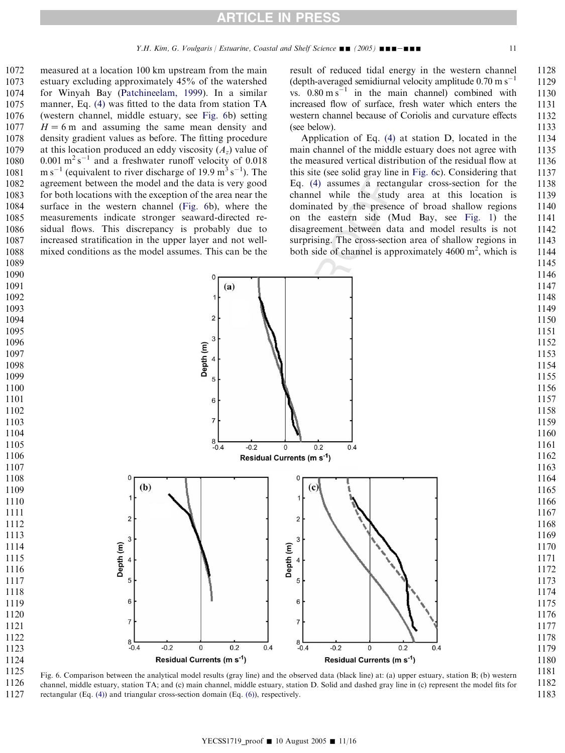<span id="page-10-0"></span>measured at a location 100 km upstream from the main estuary excluding approximately 45% of the watershed for Winyah Bay ([Patchineelam, 1999\)](#page-15-0). In a similar manner, Eq. [\(4\)](#page-9-0) was fitted to the data from station TA (western channel, middle estuary, see Fig. 6b) setting  $H = 6$  m and assuming the same mean density and density gradient values as before. The fitting procedure at this location produced an eddy viscosity  $(A_z)$  value of  $0.001 \text{ m}^2 \text{s}^{-1}$  and a freshwater runoff velocity of 0.018 m s<sup>-1</sup> (equivalent to river discharge of 19.9 m<sup>3</sup> s<sup>-1</sup>). The agreement between the model and the data is very good for both locations with the exception of the area near the surface in the western channel (Fig. 6b), where the measurements indicate stronger seaward-directed residual flows. This discrepancy is probably due to increased stratification in the upper layer and not wellmixed conditions as the model assumes. This can be the 

result of reduced tidal energy in the western channel (depth-averaged semidiurnal velocity amplitude  $0.70 \text{ m s}^{-1}$  $\text{vs.}$  0.80 m s<sup>-1</sup> in the main channel) combined with increased flow of surface, fresh water which enters the western channel because of Coriolis and curvature effects (see below).

Application of Eq. [\(4\)](#page-9-0) at station D, located in the main channel of the middle estuary does not agree with the measured vertical distribution of the residual flow at this site (see solid gray line in Fig. 6c). Considering that Eq. (4) assumes a rectangular cross-section for the channel while the study area at this location is dominated by the presence of broad shallow regions on the eastern side (Mud Bay, see [Fig. 1\)](#page-2-0) the disagreement between data and model results is not surprising. The cross-section area of shallow regions in both side of channel is approximately  $4600 \text{ m}^2$ , which is



channel, middle estuary, station TA; and (c) main channel, middle estuary, station D. Solid and dashed gray line in (c) represent the model fits for rectangular (Eq. [\(4\)](#page-9-0)) and triangular cross-section domain (Eq. [\(6\)](#page-11-0)), respectively.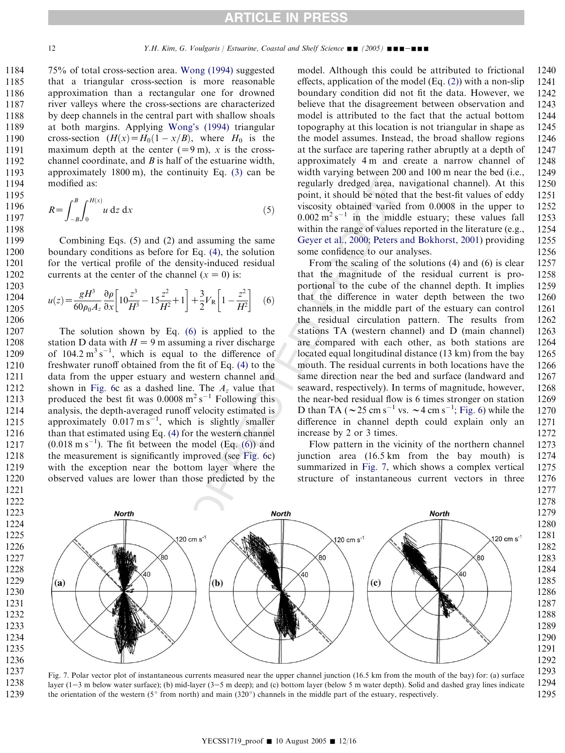<span id="page-11-0"></span>

75% of total cross-section area. [Wong \(1994\)](#page-15-0) suggested that a triangular cross-section is more reasonable approximation than a rectangular one for drowned river valleys where the cross-sections are characterized by deep channels in the central part with shallow shoals at both margins. Applying [Wong's \(1994\)](#page-15-0) triangular cross-section  $(H(x) = H_0(1 - x/B)$ , where  $H_0$  is the maximum depth at the center  $(=9 \text{ m})$ , x is the crosschannel coordinate, and  $B$  is half of the estuarine width, approximately 1800 m), the continuity Eq. [\(3\)](#page-9-0) can be modified as: 1184 1185 1186 1187 1188 1189 1190 1191 1192 1193 1194

$$
R = \int_{-B}^{B} \int_{0}^{H(x)} u \, \mathrm{d}z \, \mathrm{d}x \tag{5}
$$

Combining Eqs. (5) and (2) and assuming the same boundary conditions as before for Eq. [\(4\)](#page-9-0), the solution for the vertical profile of the density-induced residual currents at the center of the channel  $(x = 0)$  is:

$$
u(z) = \frac{gH^3}{60\rho_0 A_z} \frac{\partial \rho}{\partial x} \left[ 10\frac{z^3}{H^3} - 15\frac{z^2}{H^2} + 1 \right] + \frac{3}{2}V_R \left[ 1 - \frac{z^2}{H^2} \right] \tag{6}
$$

The solution shown by Eq. (6) is applied to the station D data with  $H = 9$  m assuming a river discharge of  $104.2 \text{ m}^3 \text{ s}^{-1}$ , which is equal to the difference of freshwater runoff obtained from the fit of Eq. (4) to the data from the upper estuary and western channel and shown in [Fig. 6c](#page-10-0) as a dashed line. The  $A_z$  value that produced the best fit was  $0.0008 \text{ m}^2 \text{ s}^{-1}$  Following this analysis, the depth-averaged runoff velocity estimated is approximately  $0.017 \text{ m s}^{-1}$ , which is slightly smaller than that estimated using Eq. (4) for the western channel  $(0.018 \text{ m s}^{-1})$ . The fit between the model (Eq.  $(6)$ ) and the measurement is significantly improved (see Fig. 6c) with the exception near the bottom layer where the observed values are lower than those predicted by the model. Although this could be attributed to frictional effects, application of the model (Eq. [\(2\)\)](#page-9-0) with a non-slip boundary condition did not fit the data. However, we believe that the disagreement between observation and model is attributed to the fact that the actual bottom topography at this location is not triangular in shape as the model assumes. Instead, the broad shallow regions at the surface are tapering rather abruptly at a depth of approximately 4 m and create a narrow channel of width varying between 200 and 100 m near the bed (i.e., regularly dredged area, navigational channel). At this point, it should be noted that the best-fit values of eddy viscosity obtained varied from 0.0008 in the upper to  $0.002 \text{ m}^2 \text{ s}^{-1}$  in the middle estuary; these values fall within the range of values reported in the literature (e.g., [Geyer et al., 2000; Peters and Bokhorst, 2001\)](#page-14-0) providing some confidence to our analyses. 1240 1241 1242 1243 1244 1245 1246 1247 1248 1249 1250 1251 1252 1253 1254 1255 1256

From the scaling of the solutions (4) and (6) is clear that the magnitude of the residual current is proportional to the cube of the channel depth. It implies that the difference in water depth between the two channels in the middle part of the estuary can control the residual circulation pattern. The results from stations TA (western channel) and D (main channel) are compared with each other, as both stations are located equal longitudinal distance (13 km) from the bay mouth. The residual currents in both locations have the same direction near the bed and surface (landward and seaward, respectively). In terms of magnitude, however, the near-bed residual flow is 6 times stronger on station D than TA ( $\sim$  25 cm s<sup>-1</sup> vs.  $\sim$  4 cm s<sup>-1</sup>; [Fig. 6\)](#page-10-0) while the difference in channel depth could explain only an increase by 2 or 3 times. 1257 1258 1259 1260 1261 1262 1263 1264 1265 1266 1267 1268 1269 1270 1271 1272

Flow pattern in the vicinity of the northern channel junction area (16.5 km from the bay mouth) is summarized in Fig. 7, which shows a complex vertical structure of instantaneous current vectors in three



Fig. 7. Polar vector plot of instantaneous currents measured near the upper channel junction (16.5 km from the mouth of the bay) for: (a) surface layer (1–3 m below water surface); (b) mid-layer (3–5 m deep); and (c) bottom layer (below 5 m water depth). Solid and dashed gray lines indicate the orientation of the western ( $5^\circ$  from north) and main (320 $^\circ$ ) channels in the middle part of the estuary, respectively. 1237 1238 1239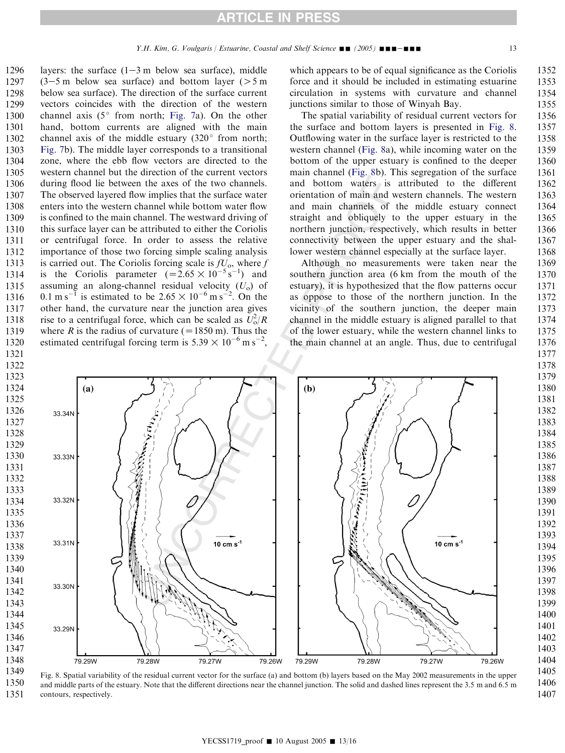layers: the surface  $(1-3 \text{ m}$  below sea surface), middle  $(3-5 \text{ m}$  below sea surface) and bottom layer ( $> 5 \text{ m}$ ) below sea surface). The direction of the surface current vectors coincides with the direction of the western channel axis  $(5^{\circ}$  from north; [Fig. 7](#page-11-0)a). On the other hand, bottom currents are aligned with the main channel axis of the middle estuary  $(320^{\circ}$  from north; [Fig. 7b](#page-11-0)). The middle layer corresponds to a transitional zone, where the ebb flow vectors are directed to the western channel but the direction of the current vectors during flood lie between the axes of the two channels. The observed layered flow implies that the surface water enters into the western channel while bottom water flow is confined to the main channel. The westward driving of this surface layer can be attributed to either the Coriolis or centrifugal force. In order to assess the relative importance of those two forcing simple scaling analysis is carried out. The Coriolis forcing scale is  $fU_0$ , where  $f$ is the Coriolis parameter  $(=2.65 \times 10^{-5} \text{ s}^{-1})$  and assuming an along-channel residual velocity  $(U_0)$  of 0.1 m s<sup>-1</sup> is estimated to be  $2.65 \times 10^{-6}$  m s<sup>-2</sup>. On the other hand, the curvature near the junction area gives rise to a centrifugal force, which can be scaled as  $U_0^2/R$ where *R* is the radius of curvature ( $= 1850$  m). Thus the estimated centrifugal forcing term is  $5.39 \times 10^{-6}$  m s<sup>-2</sup>,

which appears to be of equal significance as the Coriolis force and it should be included in estimating estuarine circulation in systems with curvature and channel

The spatial variability of residual current vectors for the surface and bottom layers is presented in Fig. 8 . Outflowing water in the surface layer is restricted to the western channel (Fig. 8a), while incoming water on the bottom of the upper estuary is confined to the deeper main channel (Fig. 8b). This segregation of the surface and bottom waters is attributed to the different orientation of main and western channels. The western and main channels of the middle estuary connect straight and obliquely to the upper estuary in the northern junction, respectively, which results in better connectivity between the upper estuary and the shallower western channel especially at the surface layer. Although no measurements were taken near the southern junction area (6 km from the mouth of the estuary), it is hypothesized that the flow patterns occur as oppose to those of the northern junction. In the vicinity of the southern junction, the deeper main channel in the middle estuary is aligned parallel to that of the lower estuary, while the western channel links to the main channel at an angle. Thus, due to centrifugal

junctions similar to those of Winyah Bay.

 

 

 

- 
- 
- 

 





Fig. 8. Spatial variability of the residual current vector for the surface (a) and bottom (b) layers based on the May 2002 measurements in the upper and middle parts of the estuary. Note that the different directions near the channel junction. The solid and dashed lines represent the 3.5 m and 6.5 m contours, respectively.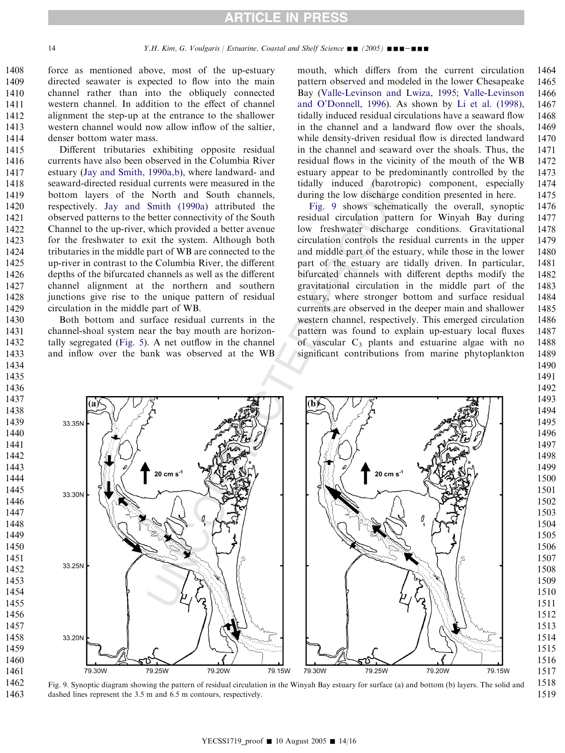14 Y.H. Kim, G. Voulgaris / Estuarine, Coastal and Shelf Science  $\blacksquare$  (2005)  $\blacksquare$ e---

force as mentioned above, most of the up-estuary directed seawater is expected to flow into the main channel rather than into the obliquely connected western channel. In addition to the effect of channel alignment the step-up at the entrance to the shallower western channel would now allow inflow of the saltier, denser bottom water mass. 

Different tributaries exhibiting opposite residual currents have also been observed in the Columbia River estuary [\(Jay and Smith, 1990a,b](#page-15-0)), where landward- and seaward-directed residual currents were measured in the bottom layers of the North and South channels, respectively. [Jay and Smith \(1990a\)](#page-15-0) attributed the observed patterns to the better connectivity of the South Channel to the up-river, which provided a better avenue for the freshwater to exit the system. Although both tributaries in the middle part of WB are connected to the up-river in contrast to the Columbia River, the different depths of the bifurcated channels as well as the different channel alignment at the northern and southern junctions give rise to the unique pattern of residual circulation in the middle part of WB. 

Both bottom and surface residual currents in the channel-shoal system near the bay mouth are horizontally segregated [\(Fig. 5\)](#page-8-0). A net outflow in the channel and inflow over the bank was observed at the WB mouth, which differs from the current circulation pattern observed and modeled in the lower Chesapeake Bay [\(Valle-Levinson and Lwiza, 1995; Valle-Levinson](#page-15-0) [and O'Donnell, 1996\)](#page-15-0). As shown by [Li et al. \(1998\)](#page-15-0) , tidally induced residual circulations have a seaward flow in the channel and a landward flow over the shoals, while density-driven residual flow is directed landward in the channel and seaward over the shoals. Thus, the residual flows in the vicinity of the mouth of the WB estuary appear to be predominantly controlled by the tidally induced (barotropic) component, especially during the low discharge condition presented in here. 

Fig. 9 shows schematically the overall, synoptic residual circulation pattern for Winyah Bay during low freshwater discharge conditions. Gravitational circulation controls the residual currents in the upper and middle part of the estuary, while those in the lower part of the estuary are tidally driven. In particular, bifurcated channels with different depths modify the gravitational circulation in the middle part of the estuary, where stronger bottom and surface residual currents are observed in the deeper main and shallower western channel, respectively. This emerged circulation pattern was found to explain up-estuary local fluxes of vascular  $C_3$  plants and estuarine algae with no significant contributions from marine phytoplankton 



Fig. 9. Synoptic diagram showing the pattern of residual circulation in the Winyah Bay estuary for surface (a) and bottom (b) layers. The solid and dashed lines represent the 3.5 m and 6.5 m contours, respectively.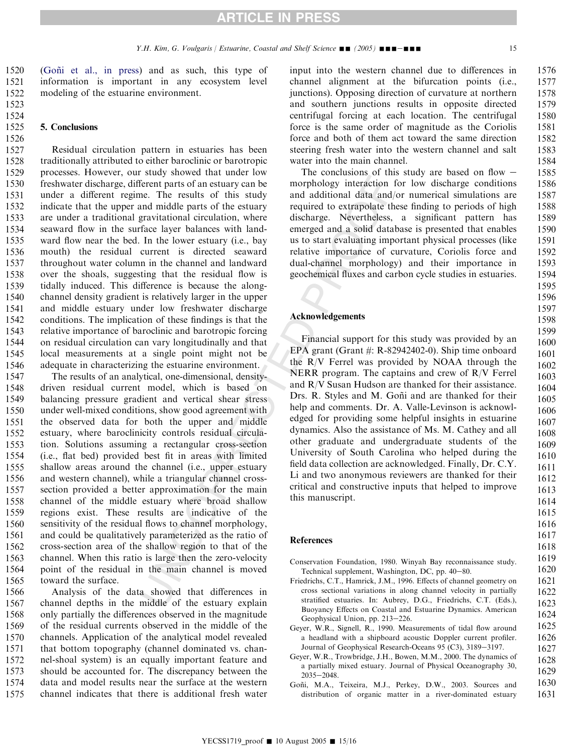<span id="page-14-0"></span>(Goni et al., in press) and as such, this type of information is important in any ecosystem level modeling of the estuarine environment. 1520 1521 1522

#### 5. Conclusions 1525

1523 1524

1526

Residual circulation pattern in estuaries has been traditionally attributed to either baroclinic or barotropic processes. However, our study showed that under low freshwater discharge, different parts of an estuary can be under a different regime. The results of this study indicate that the upper and middle parts of the estuary are under a traditional gravitational circulation, where seaward flow in the surface layer balances with landward flow near the bed. In the lower estuary (i.e., bay mouth) the residual current is directed seaward throughout water column in the channel and landward over the shoals, suggesting that the residual flow is tidally induced. This difference is because the alongchannel density gradient is relatively larger in the upper and middle estuary under low freshwater discharge conditions. The implication of these findings is that the relative importance of baroclinic and barotropic forcing on residual circulation can vary longitudinally and that local measurements at a single point might not be adequate in characterizing the estuarine environment. 1527 1528 1529 1530 1531 1532 1533 1534 1535 1536 1537 1538 1539 1540 1541 1542 1543 1544 1545 1546

Frent parts of an estuary can be morphology interaction<br>
Frent parts of an estuary can be morphology interaction and<br>
and anddle parts of the stuary and additional data and,<br>
and middle parts of the stuary required to ext The results of an analytical, one-dimensional, densitydriven residual current model, which is based on balancing pressure gradient and vertical shear stress under well-mixed conditions, show good agreement with the observed data for both the upper and middle estuary, where baroclinicity controls residual circulation. Solutions assuming a rectangular cross-section (i.e., flat bed) provided best fit in areas with limited shallow areas around the channel (i.e., upper estuary and western channel), while a triangular channel crosssection provided a better approximation for the main channel of the middle estuary where broad shallow regions exist. These results are indicative of the sensitivity of the residual flows to channel morphology, and could be qualitatively parameterized as the ratio of cross-section area of the shallow region to that of the channel. When this ratio is large then the zero-velocity point of the residual in the main channel is moved toward the surface. 1547 1548 1549 1550 1551 1552 1553 1554 1555 1556 1557 1558 1559 1560 1561 1562 1563 1564 1565

Analysis of the data showed that differences in channel depths in the middle of the estuary explain only partially the differences observed in the magnitude of the residual currents observed in the middle of the channels. Application of the analytical model revealed that bottom topography (channel dominated vs. channel-shoal system) is an equally important feature and should be accounted for. The discrepancy between the data and model results near the surface at the western channel indicates that there is additional fresh water 1566 1567 1568 1569 1570 1571 1572 1573 1574 1575

input into the western channel due to differences in channel alignment at the bifurcation points (i.e., junctions). Opposing direction of curvature at northern and southern junctions results in opposite directed centrifugal forcing at each location. The centrifugal force is the same order of magnitude as the Coriolis force and both of them act toward the same direction steering fresh water into the western channel and salt water into the main channel. 1576 1577 1578 1579 1580 1581 1582 1583 1584

The conclusions of this study are based on flow  $$ morphology interaction for low discharge conditions and additional data and/or numerical simulations are required to extrapolate these finding to periods of high discharge. Nevertheless, a significant pattern has emerged and a solid database is presented that enables us to start evaluating important physical processes (like relative importance of curvature, Coriolis force and dual-channel morphology) and their importance in geochemical fluxes and carbon cycle studies in estuaries.

### Acknowledgements

Financial support for this study was provided by an EPA grant (Grant  $\#$ : R-82942402-0). Ship time onboard the R/V Ferrel was provided by NOAA through the NERR program. The captains and crew of R/V Ferrel and R/V Susan Hudson are thanked for their assistance. Drs. R. Styles and M. Goñi and are thanked for their help and comments. Dr. A. Valle-Levinson is acknowledged for providing some helpful insights in estuarine dynamics. Also the assistance of Ms. M. Cathey and all other graduate and undergraduate students of the University of South Carolina who helped during the field data collection are acknowledged. Finally, Dr. C.Y. Li and two anonymous reviewers are thanked for their critical and constructive inputs that helped to improve this manuscript.

### References

- Conservation Foundation, 1980. Winyah Bay reconnaissance study. Technical supplement, Washington, DC, pp. 40-80.
- Friedrichs, C.T., Hamrick, J.M., 1996. Effects of channel geometry on cross sectional variations in along channel velocity in partially stratified estuaries. In: Aubrey, D.G., Friedrichs, C.T. (Eds.), Buoyancy Effects on Coastal and Estuarine Dynamics. American Geophysical Union, pp. 213-226.
- Geyer, W.R., Signell, R., 1990. Measurements of tidal flow around a headland with a shipboard acoustic Doppler current profiler. Journal of Geophysical Research-Oceans 95 (C3), 3189–3197.
- Geyer, W.R., Trowbridge, J.H., Bowen, M.M., 2000. The dynamics of a partially mixed estuary. Journal of Physical Oceanography 30,  $2035 - 2048.$ 1627 1628 1629 1630
- Goñi, M.A., Teixeira, M.J., Perkey, D.W., 2003. Sources and distribution of organic matter in a river-dominated estuary 1631